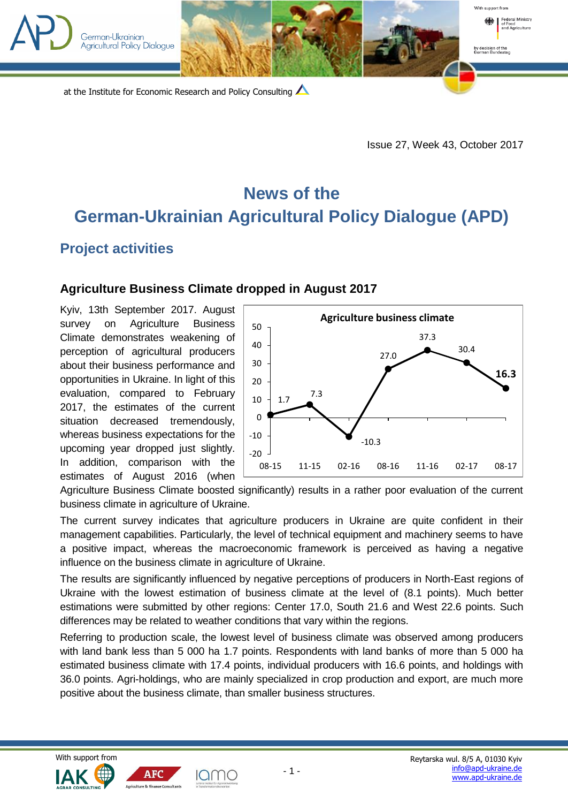

Issue 27, Week 43, October 2017

## **News of the German-Ukrainian Agricultural Policy Dialogue (APD)**

## **Project activities**

## **Agriculture Business Climate dropped in August 2017**

Kyiv, 13th September 2017. August survey on Agriculture Business Climate demonstrates weakening of perception of agricultural producers about their business performance and opportunities in Ukraine. In light of this evaluation, compared to February 2017, the estimates of the current situation decreased tremendously, whereas business expectations for the upcoming year dropped just slightly. In addition, comparison with the estimates of August 2016 (when



Agriculture Business Climate boosted significantly) results in a rather poor evaluation of the current business climate in agriculture of Ukraine.

The current survey indicates that agriculture producers in Ukraine are quite confident in their management capabilities. Particularly, the level of technical equipment and machinery seems to have a positive impact, whereas the macroeconomic framework is perceived as having a negative influence on the business climate in agriculture of Ukraine.

The results are significantly influenced by negative perceptions of producers in North-East regions of Ukraine with the lowest estimation of business climate at the level of (8.1 points). Much better estimations were submitted by other regions: Center 17.0, South 21.6 and West 22.6 points. Such differences may be related to weather conditions that vary within the regions.

Referring to production scale, the lowest level of business climate was observed among producers with land bank less than 5 000 ha 1.7 points. Respondents with land banks of more than 5 000 ha estimated business climate with 17.4 points, individual producers with 16.6 points, and holdings with 36.0 points. Agri-holdings, who are mainly specialized in crop production and export, are much more positive about the business climate, than smaller business structures.